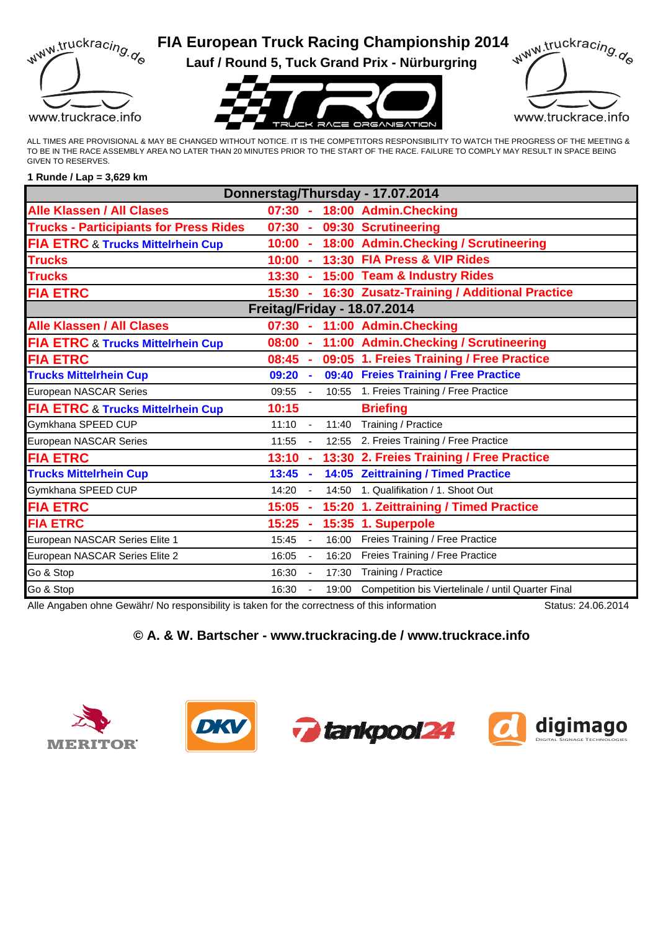

# **FIA European Truck Racing Championship 2014**

**Lauf / Round 5, Tuck Grand Prix - Nürburgring**





ALL TIMES ARE PROVISIONAL & MAY BE CHANGED WITHOUT NOTICE. IT IS THE COMPETITORS RESPONSIBILITY TO WATCH THE PROGRESS OF THE MEETING & TO BE IN THE RACE ASSEMBLY AREA NO LATER THAN 20 MINUTES PRIOR TO THE START OF THE RACE. FAILURE TO COMPLY MAY RESULT IN SPACE BEING GIVEN TO RESERVES.

#### **1 Runde / Lap = 3,629 km**

| Donnerstag/Thursday - 17.07.2014              |           |                |       |                                                    |  |  |  |  |  |
|-----------------------------------------------|-----------|----------------|-------|----------------------------------------------------|--|--|--|--|--|
| <b>Alle Klassen / All Clases</b>              | $07:30 -$ |                |       | 18:00 Admin.Checking                               |  |  |  |  |  |
| <b>Trucks - Participiants for Press Rides</b> | $07:30 -$ |                |       | 09:30 Scrutineering                                |  |  |  |  |  |
| <b>FIA ETRC &amp; Trucks Mittelrhein Cup</b>  | $10:00 -$ |                |       | 18:00 Admin.Checking / Scrutineering               |  |  |  |  |  |
| <b>Trucks</b>                                 |           |                |       | 10:00 - 13:30 FIA Press & VIP Rides                |  |  |  |  |  |
| <b>Trucks</b>                                 |           |                |       | 13:30 - 15:00 Team & Industry Rides                |  |  |  |  |  |
| <b>FIA ETRC</b>                               | $15:30 -$ |                |       | 16:30 Zusatz-Training / Additional Practice        |  |  |  |  |  |
| <b>Freitag/Friday - 18.07.2014</b>            |           |                |       |                                                    |  |  |  |  |  |
| <b>Alle Klassen / All Clases</b>              |           |                |       | 07:30 - 11:00 Admin. Checking                      |  |  |  |  |  |
| <b>FIA ETRC &amp; Trucks Mittelrhein Cup</b>  | $08:00 -$ |                |       | 11:00 Admin. Checking / Scrutineering              |  |  |  |  |  |
| <b>FIA ETRC</b>                               | $08:45 -$ |                |       | 09:05 1. Freies Training / Free Practice           |  |  |  |  |  |
| <b>Trucks Mittelrhein Cup</b>                 | $09:20 -$ |                |       | 09:40 Freies Training / Free Practice              |  |  |  |  |  |
| European NASCAR Series                        | 09:55 -   |                |       | 10:55 1. Freies Training / Free Practice           |  |  |  |  |  |
| <b>FIA ETRC &amp; Trucks Mittelrhein Cup</b>  | 10:15     |                |       | <b>Briefing</b>                                    |  |  |  |  |  |
| Gymkhana SPEED CUP                            | 11:10     | $\blacksquare$ | 11:40 | Training / Practice                                |  |  |  |  |  |
| European NASCAR Series                        | 11:55     | $\blacksquare$ |       | 12:55 2. Freies Training / Free Practice           |  |  |  |  |  |
| <b>FIA ETRC</b>                               | $13:10 -$ |                |       | 13:30 2. Freies Training / Free Practice           |  |  |  |  |  |
| <b>Trucks Mittelrhein Cup</b>                 | 13:45     | $\blacksquare$ |       | 14:05 Zeittraining / Timed Practice                |  |  |  |  |  |
| Gymkhana SPEED CUP                            | 14:20     |                | 14:50 | 1. Qualifikation / 1. Shoot Out                    |  |  |  |  |  |
| <b>FIA ETRC</b>                               | 15:05     |                |       | 15:20 1. Zeittraining / Timed Practice             |  |  |  |  |  |
| <b>FIA ETRC</b>                               | 15:25     |                |       | 15:35 1. Superpole                                 |  |  |  |  |  |
| European NASCAR Series Elite 1                | 15:45     |                | 16:00 | Freies Training / Free Practice                    |  |  |  |  |  |
| European NASCAR Series Elite 2                | 16:05     | $\blacksquare$ | 16:20 | Freies Training / Free Practice                    |  |  |  |  |  |
| Go & Stop                                     | 16:30     | $\blacksquare$ | 17:30 | Training / Practice                                |  |  |  |  |  |
| Go & Stop                                     | 16:30     |                | 19:00 | Competition bis Viertelinale / until Quarter Final |  |  |  |  |  |
|                                               |           |                |       |                                                    |  |  |  |  |  |

Alle Angaben ohne Gewähr/ No responsibility is taken for the correctness of this information Status: 24.06.2014

## **© A. & W. Bartscher - www.truckracing.de / www.truckrace.info**